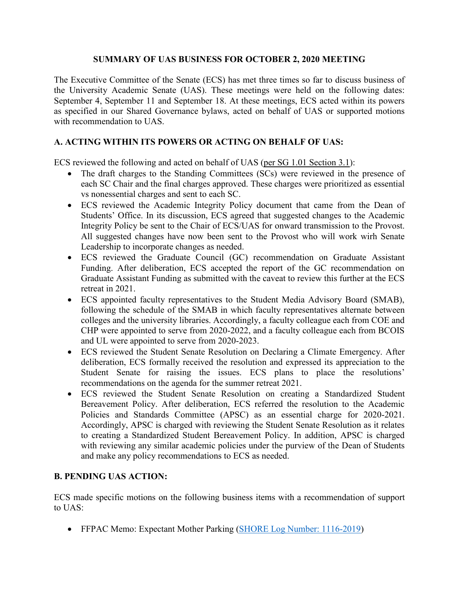## **SUMMARY OF UAS BUSINESS FOR OCTOBER 2, 2020 MEETING**

The Executive Committee of the Senate (ECS) has met three times so far to discuss business of the University Academic Senate (UAS). These meetings were held on the following dates: September 4, September 11 and September 18. At these meetings, ECS acted within its powers as specified in our Shared Governance bylaws, acted on behalf of UAS or supported motions with recommendation to UAS.

## **A. ACTING WITHIN ITS POWERS OR ACTING ON BEHALF OF UAS:**

ECS reviewed the following and acted on behalf of UAS [\(per SG 1.01 Section 3.1\)](https://www.gvsu.edu/policies/policy.htm?policyId=3BE4D7D6-F74C-23A7-311B867FBDBE4500&search=acting+on+behalf+of+UAS):

- The draft charges to the Standing Committees (SCs) were reviewed in the presence of each SC Chair and the final charges approved. These charges were prioritized as essential vs nonessential charges and sent to each SC.
- ECS reviewed the Academic Integrity Policy document that came from the Dean of Students' Office. In its discussion, ECS agreed that suggested changes to the Academic Integrity Policy be sent to the Chair of ECS/UAS for onward transmission to the Provost. All suggested changes have now been sent to the Provost who will work wirh Senate Leadership to incorporate changes as needed.
- ECS reviewed the Graduate Council (GC) recommendation on Graduate Assistant Funding. After deliberation, ECS accepted the report of the GC recommendation on Graduate Assistant Funding as submitted with the caveat to review this further at the ECS retreat in 2021.
- ECS appointed faculty representatives to the Student Media Advisory Board (SMAB), following the schedule of the SMAB in which faculty representatives alternate between colleges and the university libraries. Accordingly, a faculty colleague each from COE and CHP were appointed to serve from 2020-2022, and a faculty colleague each from BCOIS and UL were appointed to serve from 2020-2023.
- ECS reviewed the Student Senate Resolution on Declaring a Climate Emergency. After deliberation, ECS formally received the resolution and expressed its appreciation to the Student Senate for raising the issues. ECS plans to place the resolutions' recommendations on the agenda for the summer retreat 2021.
- ECS reviewed the Student Senate Resolution on creating a Standardized Student Bereavement Policy. After deliberation, ECS referred the resolution to the Academic Policies and Standards Committee (APSC) as an essential charge for 2020-2021. Accordingly, APSC is charged with reviewing the Student Senate Resolution as it relates to creating a Standardized Student Bereavement Policy. In addition, APSC is charged with reviewing any similar academic policies under the purview of the Dean of Students and make any policy recommendations to ECS as needed.

## **B. PENDING UAS ACTION:**

ECS made specific motions on the following business items with a recommendation of support to UAS:

• FFPAC Memo: Expectant Mother Parking [\(SHORE Log Number: 1116-2019\)](https://intranet.gvsu.edu/shore/charge-view.htm?chargeId=23DDC135-A02A-3840-433DC98E4A38304C)